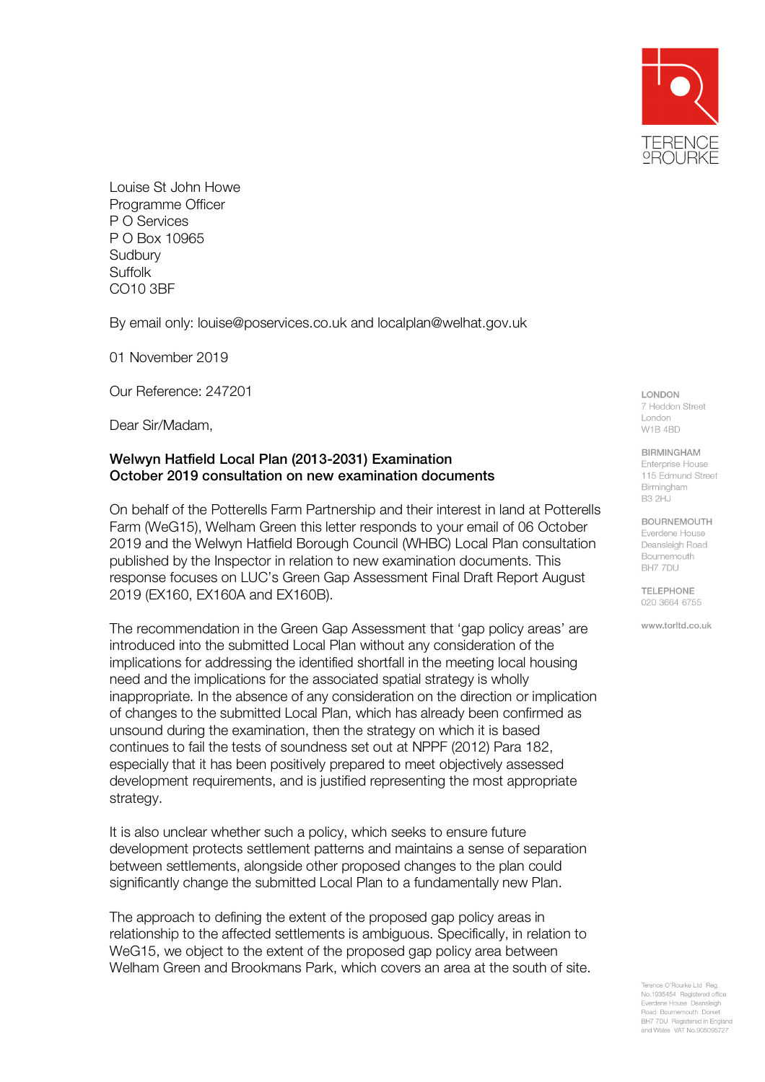

Louise St John Howe Programme Officer P O Services P O Box 10965 **Sudbury Suffolk** CO10 3BF

By email only: louise@poservices.co.uk and localplan@welhat.gov.uk

01 November 2019

Our Reference: 247201

Dear Sir/Madam,

## Welwyn Hatfield Local Plan (2013-2031) Examination October 2019 consultation on new examination documents

On behalf of the Potterells Farm Partnership and their interest in land at Potterells Farm (WeG15), Welham Green this letter responds to your email of 06 October 2019 and the Welwyn Hatfield Borough Council (WHBC) Local Plan consultation published by the Inspector in relation to new examination documents. This response focuses on LUC's Green Gap Assessment Final Draft Report August 2019 (EX160, EX160A and EX160B).

The recommendation in the Green Gap Assessment that 'gap policy areas' are introduced into the submitted Local Plan without any consideration of the implications for addressing the identified shortfall in the meeting local housing need and the implications for the associated spatial strategy is wholly inappropriate. In the absence of any consideration on the direction or implication of changes to the submitted Local Plan, which has already been confirmed as unsound during the examination, then the strategy on which it is based continues to fail the tests of soundness set out at NPPF (2012) Para 182, especially that it has been positively prepared to meet objectively assessed development requirements, and is justified representing the most appropriate strategy.

It is also unclear whether such a policy, which seeks to ensure future development protects settlement patterns and maintains a sense of separation between settlements, alongside other proposed changes to the plan could significantly change the submitted Local Plan to a fundamentally new Plan.

The approach to defining the extent of the proposed gap policy areas in relationship to the affected settlements is ambiguous. Specifically, in relation to WeG15, we object to the extent of the proposed gap policy area between Welham Green and Brookmans Park, which covers an area at the south of site. LONDON 7 Heddon Street London W1B 4BD

**BIRMINGHAM** 

Enternrise House 115 Edmund Street Birmingham **B3 2HJ** 

## **BOURNEMOUTH**

Everdene House Deansleigh Road Bournemouth BH7 7DU

TELEPHONE. 020 3664 6755

www.torltd.co.uk

ence O'Rourke Ltd Real No.1935454 Registered office Everdene House Deansleigh Road Bournemouth Dorset BH7 7DU Registered in England and Wales VAT No.905095727